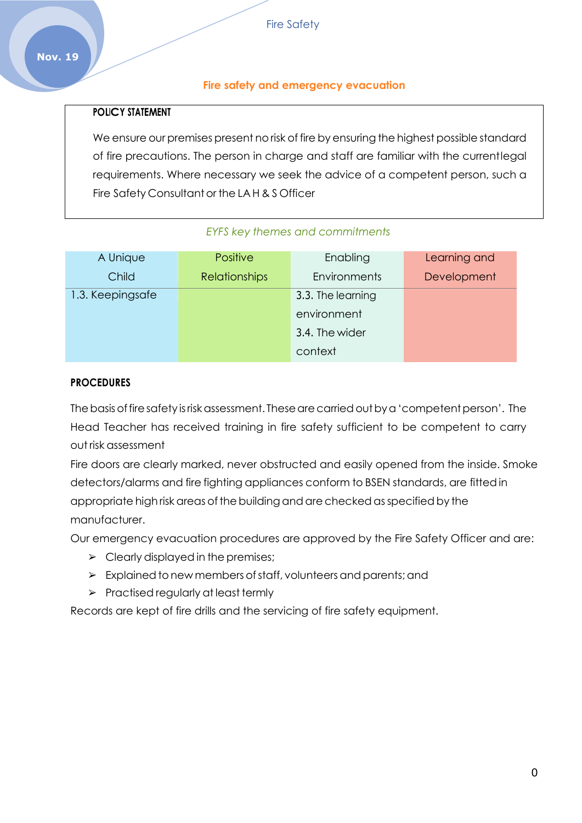#### **Fire safety and emergency evacuation**

#### **POLICY STATEMENT**

We ensure our premises present no risk of fire by ensuring the highest possible standard of fire precautions. The person in charge and staff are familiar with the currentlegal requirements. Where necessary we seek the advice of a competent person, such a Fire Safety Consultant or the LA H & S Officer

#### *EYFS key themes and commitments*

| A Unique         | <b>Positive</b>      | Enabling          | Learning and |
|------------------|----------------------|-------------------|--------------|
| Child            | <b>Relationships</b> | Environments      | Development  |
| 1.3. Keepingsafe |                      | 3.3. The learning |              |
|                  |                      | environment       |              |
|                  |                      | 3.4. The wider    |              |
|                  |                      | context           |              |

#### **PROCEDURES**

The basis of fire safety is risk assessment. These are carried out by a 'competent person'. The Head Teacher has received training in fire safety sufficient to be competent to carry out risk assessment

Fire doors are clearly marked, never obstructed and easily opened from the inside. Smoke detectors/alarms and fire fighting appliances conform to BSEN standards, are fittedin appropriate high risk areas of the building and are checked as specified by the manufacturer.

Our emergency evacuation procedures are approved by the Fire Safety Officer and are:

- $\triangleright$  Clearly displayed in the premises;
- $\triangleright$  Explained to new members of staff, volunteers and parents; and
- ➢ Practised regularly at least termly

Records are kept of fire drills and the servicing of fire safety equipment.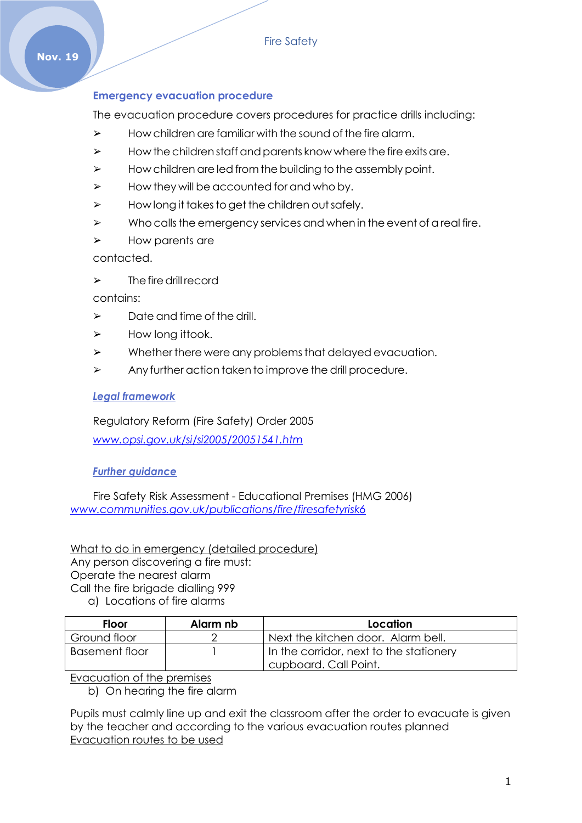### **Emergency evacuation procedure**

The evacuation procedure covers procedures for practice drills including:

- $\triangleright$  How children are familiar with the sound of the fire alarm.
- $\triangleright$  How the children staff and parents know where the fire exits are.
- $\triangleright$  How children are led from the building to the assembly point.
- $\triangleright$  How they will be accounted for and who by.
- $\triangleright$  How long it takes to get the children out safely.
- $\triangleright$  Who calls the emergency services and when in the event of a real fire.
- ➢ How parents are

contacted.

 $\triangleright$  The fire drill record

contains:

- $\triangleright$  Date and time of the drill.
- $\triangleright$  How long ittook.
- $\triangleright$  Whether there were any problems that delayed evacuation.
- ➢ Any further action taken to improve the drill procedure.

#### *Legal framework*

Regulatory Reform (Fire Safety) Order 2005 *[www.opsi.gov.uk/si/si2005/20051541.htm](http://www.opsi.gov.uk/si/si2005/20051541.htm)*

### *Further guidance*

Fire Safety Risk Assessment - Educational Premises (HMG 2006) *[www.communities.gov.uk/publications/fire/firesafetyrisk6](http://www.communities.gov.uk/publications/fire/firesafetyrisk6)*

What to do in emergency (detailed procedure) Any person discovering a fire must: Operate the nearest alarm Call the fire brigade dialling 999 a) Locations of fire alarms

| <b>Floor</b>   | Alarm nb | Location                                |
|----------------|----------|-----------------------------------------|
| Ground floor   |          | Next the kitchen door. Alarm bell.      |
| Basement floor |          | In the corridor, next to the stationery |
|                |          | cupboard. Call Point.                   |

#### Evacuation of the premises

b) On hearing the fire alarm

Pupils must calmly line up and exit the classroom after the order to evacuate is given by the teacher and according to the various evacuation routes planned Evacuation routes to be used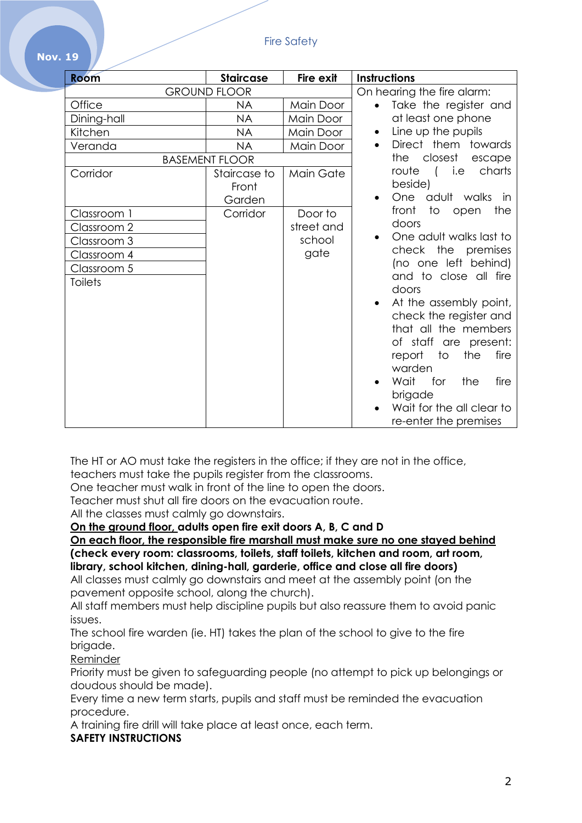| <b>Room</b>         | <b>Staircase</b>                | Fire exit  | <b>Instructions</b>                                       |
|---------------------|---------------------------------|------------|-----------------------------------------------------------|
| <b>GROUND FLOOR</b> |                                 |            | On hearing the fire alarm:                                |
| Office              | <b>NA</b>                       | Main Door  | Take the register and<br>$\bullet$                        |
| Dining-hall         | <b>NA</b>                       | Main Door  | at least one phone                                        |
| Kitchen             | <b>NA</b>                       | Main Door  | Line up the pupils                                        |
| Veranda             | <b>NA</b>                       | Main Door  | Direct them towards<br>$\bullet$                          |
|                     | <b>BASEMENT FLOOR</b>           |            | the closest<br>escape                                     |
| Corridor            | Staircase to<br>Front<br>Garden | Main Gate  | route<br>( i.e<br>charts<br>beside)<br>One adult walks in |
| Classroom 1         | Corridor                        | Door to    | the<br>front<br>to<br>open                                |
| Classroom 2         |                                 | street and | doors                                                     |
| Classroom 3         |                                 | school     | One adult walks last to                                   |
| Classroom 4         |                                 | gate       | check the premises                                        |
| Classroom 5         |                                 |            | (no one left behind)                                      |
| <b>Toilets</b>      |                                 |            | and to close all fire                                     |
|                     |                                 |            | doors                                                     |
|                     |                                 |            | At the assembly point,                                    |
|                     |                                 |            | check the register and                                    |
|                     |                                 |            | that all the members                                      |
|                     |                                 |            | of staff are present:                                     |
|                     |                                 |            | report to<br>the<br>fire                                  |
|                     |                                 |            | warden                                                    |
|                     |                                 |            | Wait<br>for<br>the<br>fire                                |
|                     |                                 |            | brigade                                                   |
|                     |                                 |            | Wait for the all clear to                                 |
|                     |                                 |            | re-enter the premises                                     |

The HT or AO must take the registers in the office; if they are not in the office, teachers must take the pupils register from the classrooms.

One teacher must walk in front of the line to open the doors.

Teacher must shut all fire doors on the evacuation route.

All the classes must calmly go downstairs.

**On the ground floor, adults open fire exit doors A, B, C and D**

**On each floor, the responsible fire marshall must make sure no one stayed behind (check every room: classrooms, toilets, staff toilets, kitchen and room, art room, library, school kitchen, dining-hall, garderie, office and close all fire doors)**

All classes must calmly go downstairs and meet at the assembly point (on the pavement opposite school, along the church).

All staff members must help discipline pupils but also reassure them to avoid panic issues.

The school fire warden (ie. HT) takes the plan of the school to give to the fire brigade.

Reminder

**Nov. 19**

Priority must be given to safeguarding people (no attempt to pick up belongings or doudous should be made).

Every time a new term starts, pupils and staff must be reminded the evacuation procedure.

A training fire drill will take place at least once, each term.

## **SAFETY INSTRUCTIONS**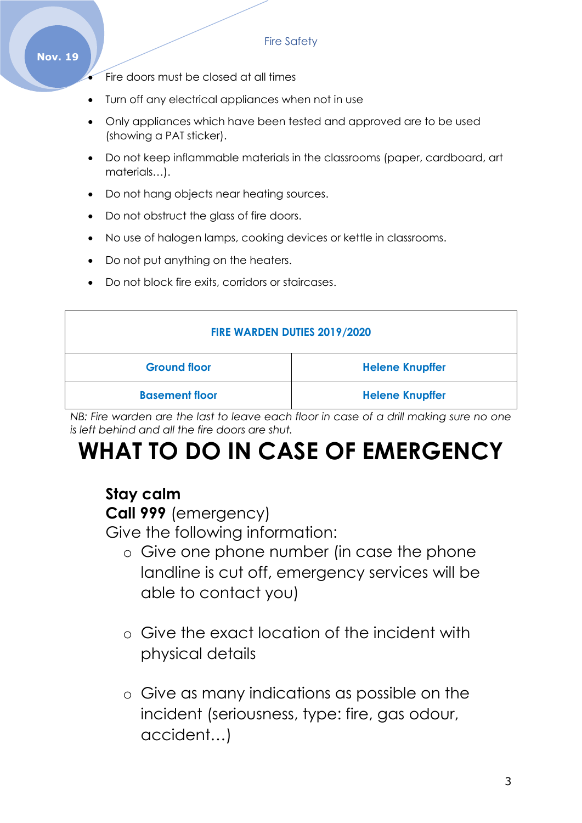#### **Nov. 19**

- Fire doors must be closed at all times
- Turn off any electrical appliances when not in use
- Only appliances which have been tested and approved are to be used (showing a PAT sticker).
- Do not keep inflammable materials in the classrooms (paper, cardboard, art materials…).
- Do not hang objects near heating sources.
- Do not obstruct the glass of fire doors.
- No use of halogen lamps, cooking devices or kettle in classrooms.
- Do not put anything on the heaters.
- Do not block fire exits, corridors or staircases.

| FIRE WARDEN DUTIES 2019/2020 |                        |  |
|------------------------------|------------------------|--|
| <b>Ground floor</b>          | <b>Helene Knupffer</b> |  |
| <b>Basement floor</b>        | <b>Helene Knupffer</b> |  |

*NB: Fire warden are the last to leave each floor in case of a drill making sure no one is left behind and all the fire doors are shut.*

# **WHAT TO DO IN CASE OF EMERGENCY**

# **Stay calm**

**Call 999** (emergency)

Give the following information:

- o Give one phone number (in case the phone landline is cut off, emergency services will be able to contact you)
- o Give the exact location of the incident with physical details
- o Give as many indications as possible on the incident (seriousness, type: fire, gas odour, accident…)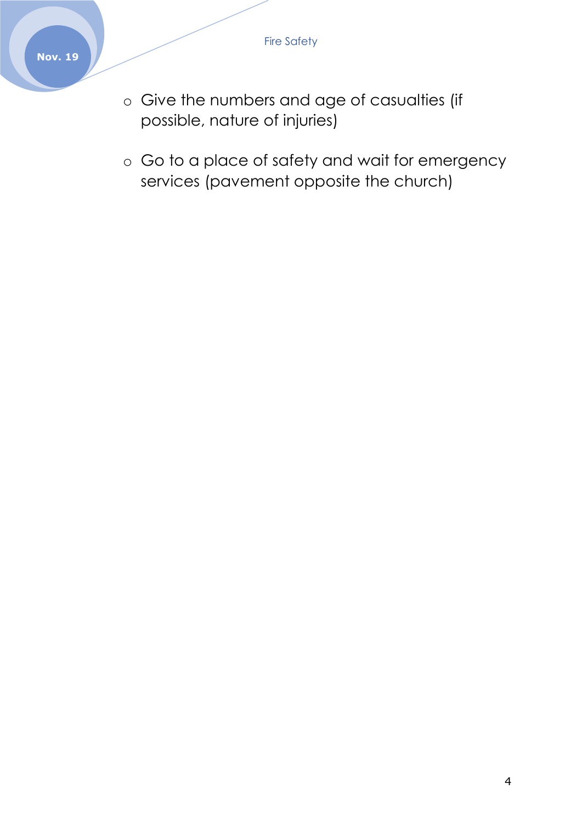- o Give the numbers and age of casualties (if possible, nature of injuries)
- o Go to a place of safety and wait for emergency services (pavement opposite the church)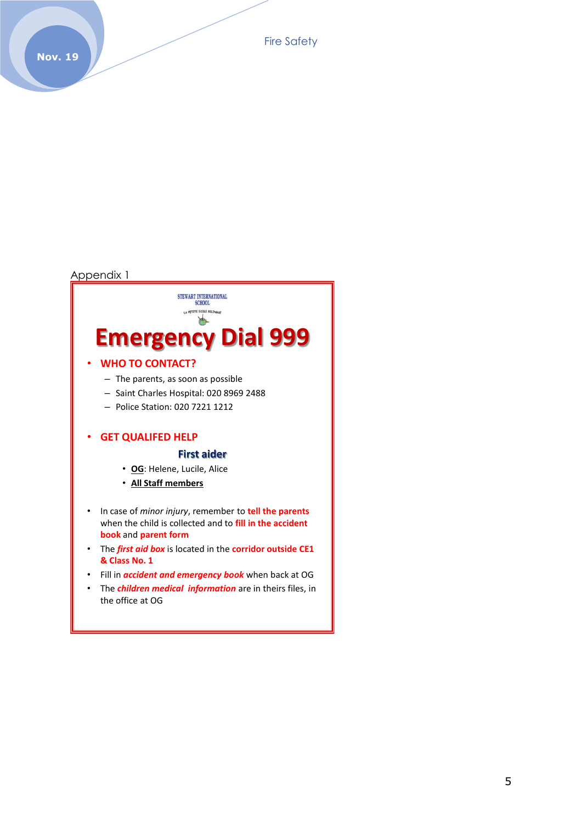Fire Safety

#### Appendix 1

# STEWART INTERNATIONAL<br>SCHOOL PETITE ECOLE BILINGUE b **Emergency Dial 999**

#### • **WHO TO CONTACT?**

- The parents, as soon as possible
- Saint Charles Hospital: 020 8969 2488
- Police Station: 020 7221 1212

#### • **GET QUALIFED HELP**

#### **First aider**

- **OG**: Helene, Lucile, Alice
- **All Staff members**
- In case of *minor injury*, remember to **tell the parents**  when the child is collected and to **fill in the accident book** and **parent form**
- The *first aid box* is located in the **corridor outside CE1 & Class No. 1**
- Fill in *accident and emergency book* when back at OG
- The *children medical information* are in theirs files, in the office at OG